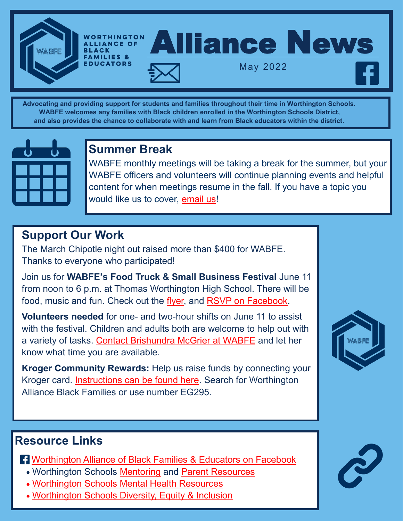

**Advocating and providing support for students and families throughout their time in Worthington Schools. WABFE welcomes any families with Black children enrolled in the Worthington Schools District, and also provides the chance to collaborate with and learn from Black educators within the district.**



# **Summer Break**

WABFE monthly meetings will be taking a break for the summer, but your WABFE officers and volunteers will continue planning events and helpful content for when meetings resume in the fall. If you have a topic you would like us to cover, email us!

# **Support Our Work**

The March Chipotle night out raised more than \$400 for WABFE. Thanks to everyone who participated!

Join us for **WABFE's Food Truck & Small Business Festival** June 11 from noon to 6 p.m. at Thomas Worthington High School. There will be food, music and fun. Check out the flyer, and RSVP on Facebook.

**Volunteers needed** for one- and two-hour shifts on June 11 to assist with the festival. Children and adults both are welcome to help out with a variety of tasks. Contact Brishundra McGrier at WABFE and let her know what time you are available.

**Kroger Community Rewards:** Help us raise funds by connecting your Kroger card. Instructions can be found here. Search for Worthington Alliance Black Families or use number EG295.

### **Resource Links**

- **R** Worthington Alliance of Black Families & Educators on Facebook
	- Worthington Schools Mentoring and Parent Resources
	- Worthington Schools Mental Health Resources
	- Worthington Schools Diversity, Equity & Inclusion